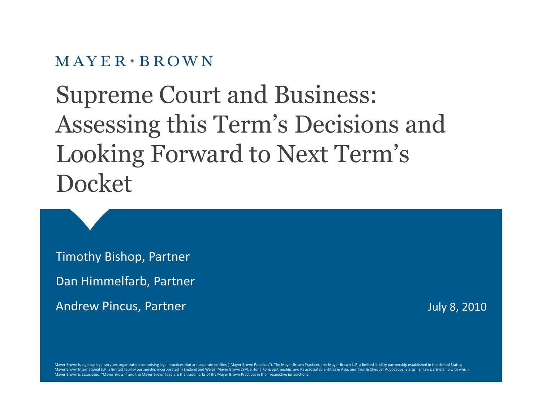### $MAYER*BROMN$

# Supreme Court and Business: Assessing this Term's Decisions and Looking Forward to Next Term's Docket

Timothy Bishop, Partner

Dan Himmelfarb, Partner

Andrew Pincus, Partner July 8, 2010

Mayer Brown is a global legal services organization comprising legal practices that are separate entities ("Mayer Brown Practices"). The Mayer Brown Practices are: Mayer Brown LLP, a limited liability partnership establish Mayer Brown International LLP, a limited liability partnership incorporated in England and Wales; Mayer Brown JSM, a Hong Kong partnership, and its associated entities in Asia; and Tauil & Chequer Advogados, a Brazilian la Mayer Brown is associated. "Mayer Brown" and the Mayer Brown logo are the trademarks of the Mayer Brown Practices in their respective jurisdictions.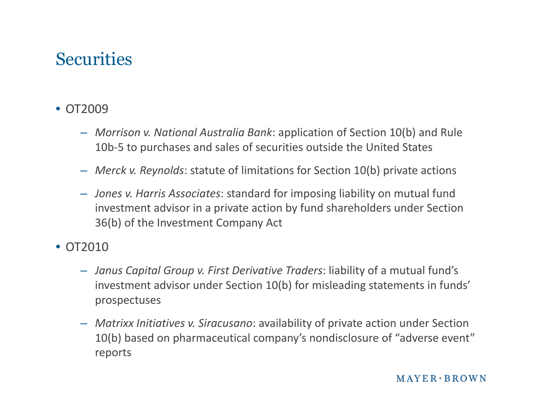# **Securities**

- *Morrison v. National Australia Bank*: application of Section 10(b) and Rule 10b-5 to purchases and sales of securities outside the United States
- *Merck v. Reynolds*: statute of limitations for Section 10(b) private actions
- *Jones v. Harris Associates*: standard for imposing liability on mutual fund investment advisor in a private action by fund shareholders under Section 36(b) of the Investment Company Act
- OT2010
	- *Janus Capital Group v. First Derivative Traders*: liability of a mutual fund's investment advisor under Section 10(b) for misleading statements in funds' prospectuses
	- *Matrixx Initiatives v. Siracusano*: availability of private action under Section 10(b) based on pharmaceutical company's nondisclosure of "adverse event" reports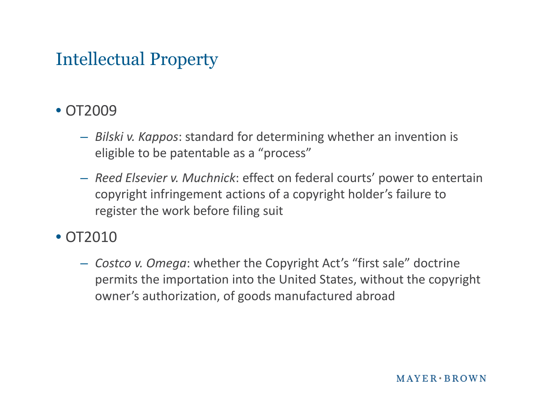# Intellectual Property

### • OT2009

- *Bilski v. Kappos*: standard for determining whether an invention is eligible to be patentable as a "process"
- *Reed Elsevier v. Muchnick*: effect on federal courts' power to entertain copyright infringement actions of a copyright holder's failure to register the work before filing suit

### • OT2010

– *Costco v. Omega*: whether the Copyright Act's "first sale" doctrine permits the importation into the United States, without the copyright owner's authorization, of goods manufactured abroad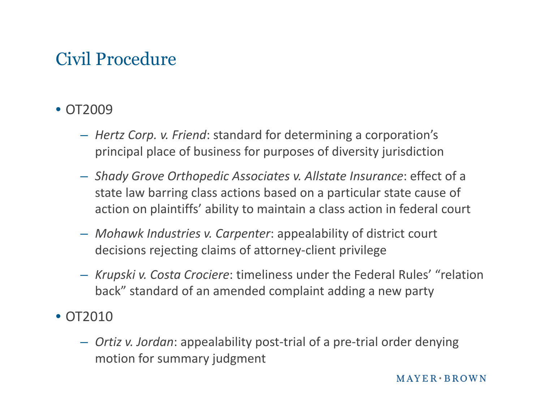# Civil Procedure

- *Hertz Corp. v. Friend*: standard for determining a corporation's principal place of business for purposes of diversity jurisdiction
- *Shady Grove Orthopedic Associates v. Allstate Insurance*: effect of a state law barring class actions based on a particular state cause of action on plaintiffs' ability to maintain a class action in federal court
- *Mohawk Industries v. Carpenter*: appealability of district court decisions rejecting claims of attorney-client privilege
- *Krupski v. Costa Crociere*: timeliness under the Federal Rules' "relation back" standard of an amended complaint adding a new party
- OT<sub>2010</sub>
	- *Ortiz v. Jordan*: appealability post-trial of a pre-trial order denying motion for summary judgment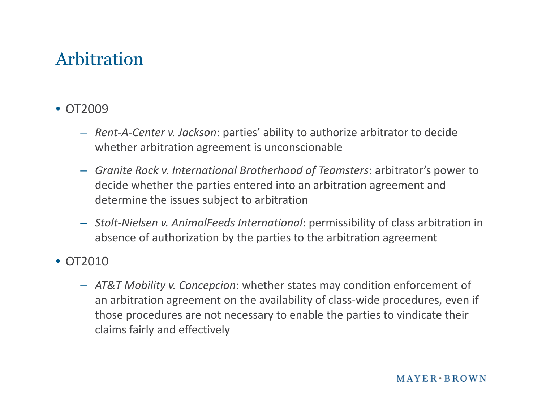# Arbitration

- *Rent-A-Center v. Jackson*: parties' ability to authorize arbitrator to decide whether arbitration agreement is unconscionable
- *Granite Rock v. International Brotherhood of Teamsters*: arbitrator's power to decide whether the parties entered into an arbitration agreement and determine the issues subject to arbitration
- *Stolt-Nielsen v. AnimalFeeds International*: permissibility of class arbitration in absence of authorization by the parties to the arbitration agreement
- OT<sub>2010</sub>
	- *AT&T Mobility v. Concepcion*: whether states may condition enforcement of an arbitration agreement on the availability of class-wide procedures, even if those procedures are not necessary to enable the parties to vindicate their claims fairly and effectively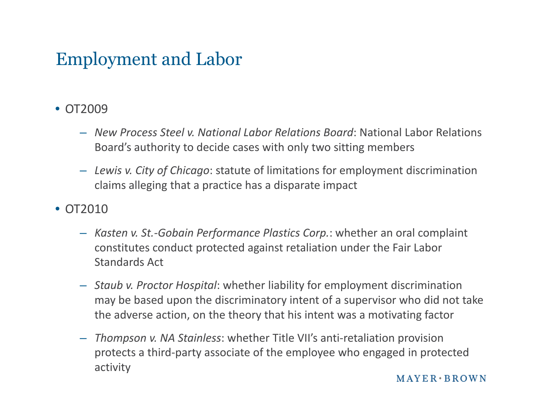# Employment and Labor

- *New Process Steel v. National Labor Relations Board*: National Labor Relations Board's authority to decide cases with only two sitting members
- *Lewis v. City of Chicago*: statute of limitations for employment discrimination claims alleging that a practice has a disparate impact
- OT2010
	- *Kasten v. St.-Gobain Performance Plastics Corp.*: whether an oral complaint constitutes conduct protected against retaliation under the Fair Labor Standards Act
	- *Staub v. Proctor Hospital*: whether liability for employment discrimination may be based upon the discriminatory intent of a supervisor who did not take the adverse action, on the theory that his intent was a motivating factor
	- *Thompson v. NA Stainless*: whether Title VII's anti-retaliation provision protects a third-party associate of the employee who engaged in protected activity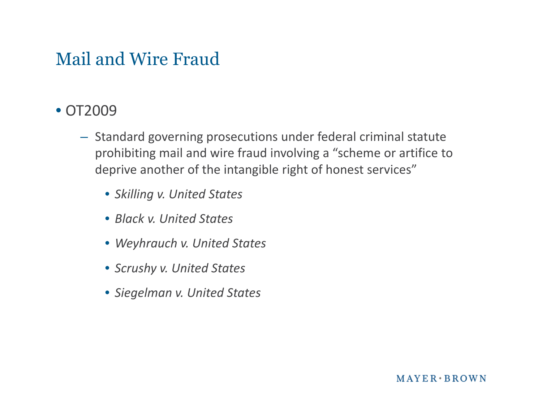### Mail and Wire Fraud

- Standard governing prosecutions under federal criminal statute prohibiting mail and wire fraud involving a "scheme or artifice to deprive another of the intangible right of honest services"
	- *Skilling v. United States*
	- *Black v. United States*
	- *Weyhrauch v. United States*
	- *Scrushy v. United States*
	- *Siegelman v. United States*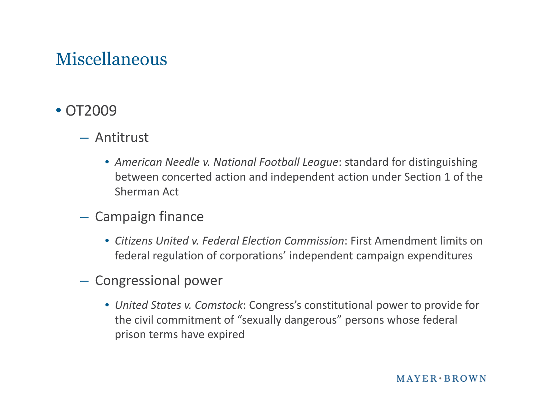# Miscellaneous

- Antitrust
	- *American Needle v. National Football League*: standard for distinguishing between concerted action and independent action under Section 1 of the Sherman Act
- Campaign finance
	- *Citizens United v. Federal Election Commission*: First Amendment limits on federal regulation of corporations' independent campaign expenditures
- Congressional power
	- *United States v. Comstock*: Congress's constitutional power to provide for the civil commitment of "sexually dangerous" persons whose federal prison terms have expired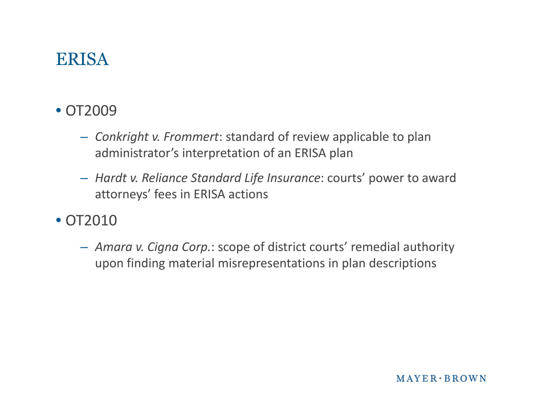# ERISA

- *Conkright v. Frommert*: standard of review applicable to plan administrator's interpretation of an ERISA plan
- *Hardt v. Reliance Standard Life Insurance*: courts' power to award attorneys' fees in ERISA actions
- OT2010
	- *Amara v. Cigna Corp.*: scope of district courts' remedial authority upon finding material misrepresentations in plan descriptions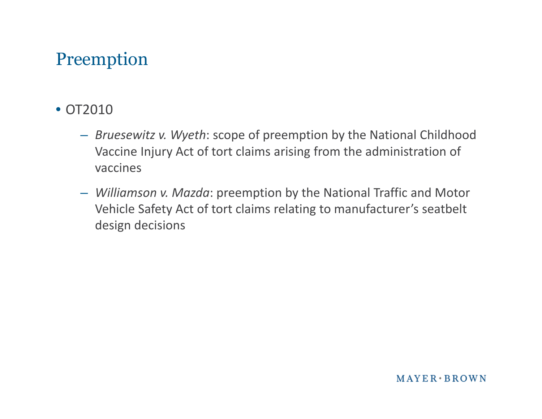# Preemption

- *Bruesewitz v. Wyeth*: scope of preemption by the National Childhood Vaccine Injury Act of tort claims arising from the administration of vaccines
- *Williamson v. Mazda*: preemption by the National Traffic and Motor Vehicle Safety Act of tort claims relating to manufacturer's seatbelt design decisions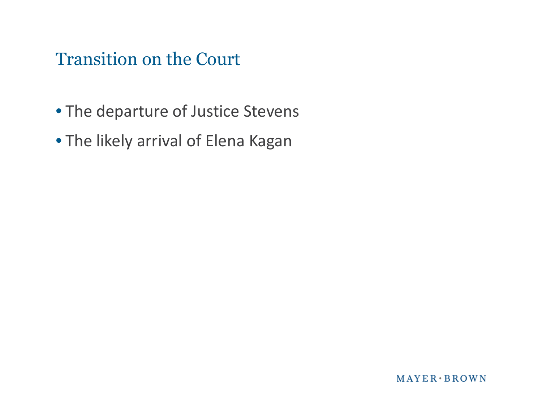## Transition on the Court

- The departure of Justice Stevens
- The likely arrival of Elena Kagan